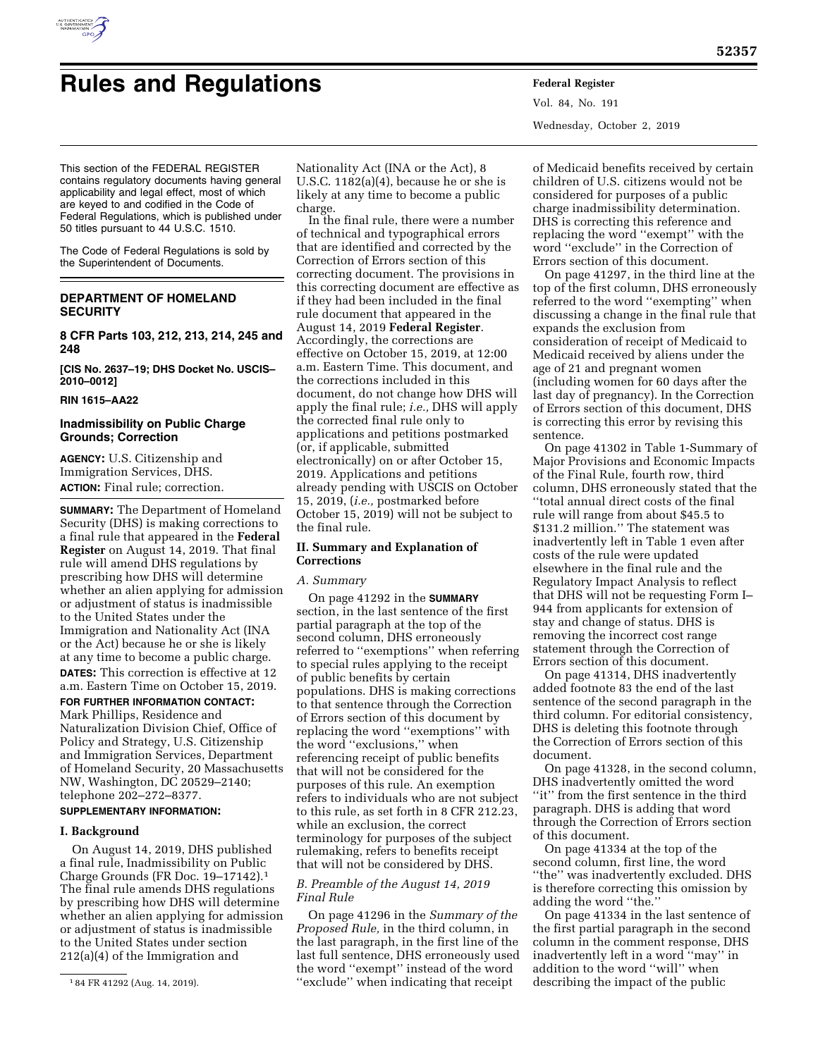

# **Rules and Regulations Federal Register**

Vol. 84, No. 191 Wednesday, October 2, 2019

This section of the FEDERAL REGISTER contains regulatory documents having general applicability and legal effect, most of which are keyed to and codified in the Code of Federal Regulations, which is published under 50 titles pursuant to 44 U.S.C. 1510.

The Code of Federal Regulations is sold by the Superintendent of Documents.

# **DEPARTMENT OF HOMELAND SECURITY**

**8 CFR Parts 103, 212, 213, 214, 245 and 248** 

**[CIS No. 2637–19; DHS Docket No. USCIS– 2010–0012]** 

#### **RIN 1615–AA22**

# **Inadmissibility on Public Charge Grounds; Correction**

**AGENCY:** U.S. Citizenship and Immigration Services, DHS. **ACTION:** Final rule; correction.

**SUMMARY:** The Department of Homeland Security (DHS) is making corrections to a final rule that appeared in the **Federal Register** on August 14, 2019. That final rule will amend DHS regulations by prescribing how DHS will determine whether an alien applying for admission or adjustment of status is inadmissible to the United States under the Immigration and Nationality Act (INA or the Act) because he or she is likely at any time to become a public charge.

**DATES:** This correction is effective at 12 a.m. Eastern Time on October 15, 2019.

**FOR FURTHER INFORMATION CONTACT:**  Mark Phillips, Residence and Naturalization Division Chief, Office of Policy and Strategy, U.S. Citizenship and Immigration Services, Department of Homeland Security, 20 Massachusetts NW, Washington, DC 20529–2140; telephone 202–272–8377.

## **SUPPLEMENTARY INFORMATION:**

## **I. Background**

On August 14, 2019, DHS published a final rule, Inadmissibility on Public Charge Grounds (FR Doc. 19–17142).1 The final rule amends DHS regulations by prescribing how DHS will determine whether an alien applying for admission or adjustment of status is inadmissible to the United States under section 212(a)(4) of the Immigration and

Nationality Act (INA or the Act), 8 U.S.C. 1182(a)(4), because he or she is likely at any time to become a public charge.

In the final rule, there were a number of technical and typographical errors that are identified and corrected by the Correction of Errors section of this correcting document. The provisions in this correcting document are effective as if they had been included in the final rule document that appeared in the August 14, 2019 **Federal Register**. Accordingly, the corrections are effective on October 15, 2019, at 12:00 a.m. Eastern Time. This document, and the corrections included in this document, do not change how DHS will apply the final rule; *i.e.,* DHS will apply the corrected final rule only to applications and petitions postmarked (or, if applicable, submitted electronically) on or after October 15, 2019. Applications and petitions already pending with USCIS on October 15, 2019, (*i.e.,* postmarked before October 15, 2019) will not be subject to the final rule.

## **II. Summary and Explanation of Corrections**

#### *A. Summary*

On page 41292 in the **SUMMARY** section, in the last sentence of the first partial paragraph at the top of the second column, DHS erroneously referred to ''exemptions'' when referring to special rules applying to the receipt of public benefits by certain populations. DHS is making corrections to that sentence through the Correction of Errors section of this document by replacing the word ''exemptions'' with the word ''exclusions,'' when referencing receipt of public benefits that will not be considered for the purposes of this rule. An exemption refers to individuals who are not subject to this rule, as set forth in 8 CFR 212.23, while an exclusion, the correct terminology for purposes of the subject rulemaking, refers to benefits receipt that will not be considered by DHS.

# *B. Preamble of the August 14, 2019 Final Rule*

On page 41296 in the *Summary of the Proposed Rule,* in the third column, in the last paragraph, in the first line of the last full sentence, DHS erroneously used the word ''exempt'' instead of the word ''exclude'' when indicating that receipt

of Medicaid benefits received by certain children of U.S. citizens would not be considered for purposes of a public charge inadmissibility determination. DHS is correcting this reference and replacing the word ''exempt'' with the word ''exclude'' in the Correction of Errors section of this document.

On page 41297, in the third line at the top of the first column, DHS erroneously referred to the word ''exempting'' when discussing a change in the final rule that expands the exclusion from consideration of receipt of Medicaid to Medicaid received by aliens under the age of 21 and pregnant women (including women for 60 days after the last day of pregnancy). In the Correction of Errors section of this document, DHS is correcting this error by revising this sentence.

On page 41302 in Table 1-Summary of Major Provisions and Economic Impacts of the Final Rule, fourth row, third column, DHS erroneously stated that the ''total annual direct costs of the final rule will range from about \$45.5 to \$131.2 million.'' The statement was inadvertently left in Table 1 even after costs of the rule were updated elsewhere in the final rule and the Regulatory Impact Analysis to reflect that DHS will not be requesting Form I– 944 from applicants for extension of stay and change of status. DHS is removing the incorrect cost range statement through the Correction of Errors section of this document.

On page 41314, DHS inadvertently added footnote 83 the end of the last sentence of the second paragraph in the third column. For editorial consistency, DHS is deleting this footnote through the Correction of Errors section of this document.

On page 41328, in the second column, DHS inadvertently omitted the word ''it'' from the first sentence in the third paragraph. DHS is adding that word through the Correction of Errors section of this document.

On page 41334 at the top of the second column, first line, the word ''the'' was inadvertently excluded. DHS is therefore correcting this omission by adding the word ''the.''

On page 41334 in the last sentence of the first partial paragraph in the second column in the comment response, DHS inadvertently left in a word ''may'' in addition to the word ''will'' when describing the impact of the public

<sup>1</sup> 84 FR 41292 (Aug. 14, 2019).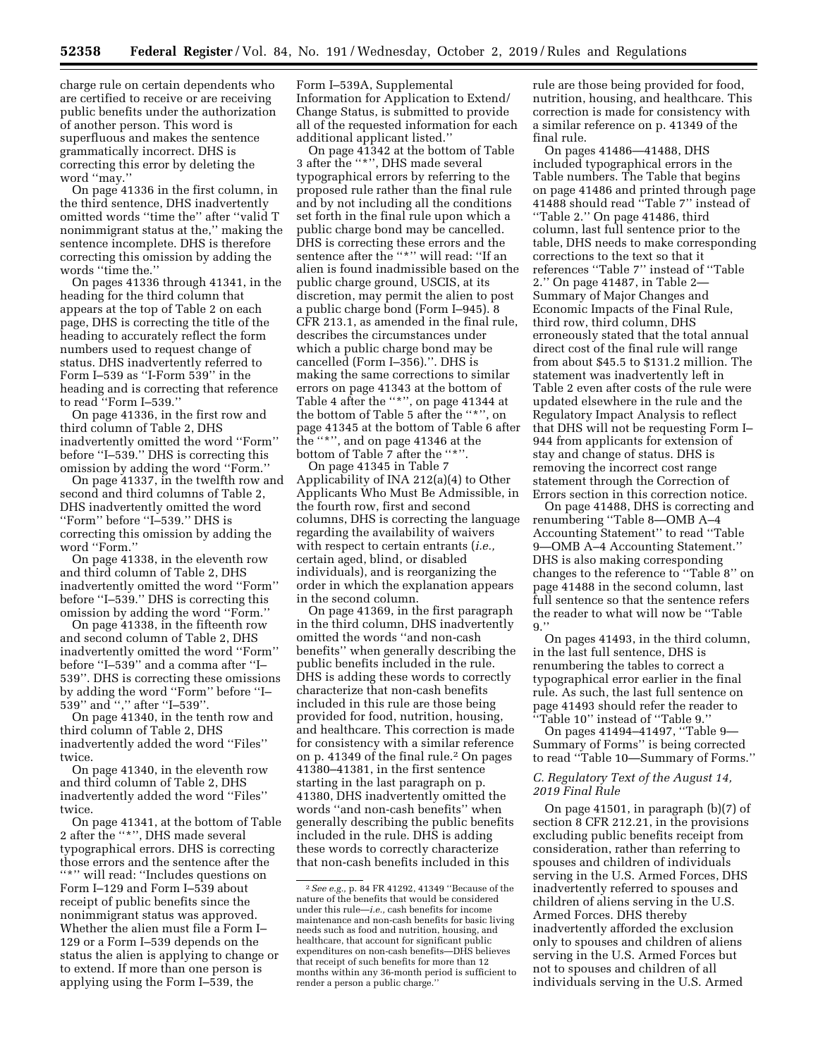charge rule on certain dependents who are certified to receive or are receiving public benefits under the authorization of another person. This word is superfluous and makes the sentence grammatically incorrect. DHS is correcting this error by deleting the word ''may.''

On page 41336 in the first column, in the third sentence, DHS inadvertently omitted words ''time the'' after ''valid T nonimmigrant status at the,'' making the sentence incomplete. DHS is therefore correcting this omission by adding the words ''time the.''

On pages 41336 through 41341, in the heading for the third column that appears at the top of Table 2 on each page, DHS is correcting the title of the heading to accurately reflect the form numbers used to request change of status. DHS inadvertently referred to Form I–539 as ''I-Form 539'' in the heading and is correcting that reference to read ''Form I–539.''

On page 41336, in the first row and third column of Table 2, DHS inadvertently omitted the word ''Form'' before ''I–539.'' DHS is correcting this omission by adding the word ''Form.''

On page 41337, in the twelfth row and second and third columns of Table 2, DHS inadvertently omitted the word ''Form'' before ''I–539.'' DHS is correcting this omission by adding the word "Form."

On page 41338, in the eleventh row and third column of Table 2, DHS inadvertently omitted the word ''Form'' before ''I–539.'' DHS is correcting this omission by adding the word ''Form.''

On page 41338, in the fifteenth row and second column of Table 2, DHS inadvertently omitted the word ''Form'' before ''I–539'' and a comma after ''I– 539''. DHS is correcting these omissions by adding the word ''Form'' before ''I– 539'' and '','' after ''I–539''.

On page 41340, in the tenth row and third column of Table 2, DHS inadvertently added the word ''Files'' twice.

On page 41340, in the eleventh row and third column of Table 2, DHS inadvertently added the word ''Files'' twice.

On page 41341, at the bottom of Table 2 after the ''\*'', DHS made several typographical errors. DHS is correcting those errors and the sentence after the ''\*'' will read: ''Includes questions on Form I–129 and Form I–539 about receipt of public benefits since the nonimmigrant status was approved. Whether the alien must file a Form I– 129 or a Form I–539 depends on the status the alien is applying to change or to extend. If more than one person is applying using the Form I–539, the

Form I–539A, Supplemental Information for Application to Extend/ Change Status, is submitted to provide all of the requested information for each additional applicant listed.''

On page 41342 at the bottom of Table 3 after the ''\*'', DHS made several typographical errors by referring to the proposed rule rather than the final rule and by not including all the conditions set forth in the final rule upon which a public charge bond may be cancelled. DHS is correcting these errors and the sentence after the "\*" will read: "If an alien is found inadmissible based on the public charge ground, USCIS, at its discretion, may permit the alien to post a public charge bond (Form I–945). 8 CFR 213.1, as amended in the final rule, describes the circumstances under which a public charge bond may be cancelled (Form I–356).''. DHS is making the same corrections to similar errors on page 41343 at the bottom of Table 4 after the ''\*'', on page 41344 at the bottom of Table 5 after the ''\*'', on page 41345 at the bottom of Table 6 after the ''\*'', and on page 41346 at the bottom of Table 7 after the "\*"

On page 41345 in Table 7 Applicability of INA 212(a)(4) to Other Applicants Who Must Be Admissible, in the fourth row, first and second columns, DHS is correcting the language regarding the availability of waivers with respect to certain entrants (*i.e.,*  certain aged, blind, or disabled individuals), and is reorganizing the order in which the explanation appears in the second column.

On page 41369, in the first paragraph in the third column, DHS inadvertently omitted the words ''and non-cash benefits'' when generally describing the public benefits included in the rule. DHS is adding these words to correctly characterize that non-cash benefits included in this rule are those being provided for food, nutrition, housing, and healthcare. This correction is made for consistency with a similar reference on p. 41349 of the final rule.2 On pages 41380–41381, in the first sentence starting in the last paragraph on p. 41380, DHS inadvertently omitted the words ''and non-cash benefits'' when generally describing the public benefits included in the rule. DHS is adding these words to correctly characterize that non-cash benefits included in this

rule are those being provided for food, nutrition, housing, and healthcare. This correction is made for consistency with a similar reference on p. 41349 of the final rule.

On pages 41486—41488, DHS included typographical errors in the Table numbers. The Table that begins on page 41486 and printed through page 41488 should read ''Table 7'' instead of ''Table 2.'' On page 41486, third column, last full sentence prior to the table, DHS needs to make corresponding corrections to the text so that it references ''Table 7'' instead of ''Table 2.'' On page 41487, in Table 2— Summary of Major Changes and Economic Impacts of the Final Rule, third row, third column, DHS erroneously stated that the total annual direct cost of the final rule will range from about \$45.5 to \$131.2 million. The statement was inadvertently left in Table 2 even after costs of the rule were updated elsewhere in the rule and the Regulatory Impact Analysis to reflect that DHS will not be requesting Form I– 944 from applicants for extension of stay and change of status. DHS is removing the incorrect cost range statement through the Correction of Errors section in this correction notice.

On page 41488, DHS is correcting and renumbering ''Table 8—OMB A–4 Accounting Statement'' to read ''Table 9—OMB A–4 Accounting Statement.'' DHS is also making corresponding changes to the reference to ''Table 8'' on page 41488 in the second column, last full sentence so that the sentence refers the reader to what will now be ''Table 9.''

On pages 41493, in the third column, in the last full sentence, DHS is renumbering the tables to correct a typographical error earlier in the final rule. As such, the last full sentence on page 41493 should refer the reader to ''Table 10'' instead of ''Table 9.''

On pages 41494–41497, ''Table 9— Summary of Forms'' is being corrected to read ''Table 10—Summary of Forms.''

#### *C. Regulatory Text of the August 14, 2019 Final Rule*

On page 41501, in paragraph (b)(7) of section 8 CFR 212.21, in the provisions excluding public benefits receipt from consideration, rather than referring to spouses and children of individuals serving in the U.S. Armed Forces, DHS inadvertently referred to spouses and children of aliens serving in the U.S. Armed Forces. DHS thereby inadvertently afforded the exclusion only to spouses and children of aliens serving in the U.S. Armed Forces but not to spouses and children of all individuals serving in the U.S. Armed

<sup>2</sup>*See e.g.,* p. 84 FR 41292, 41349 ''Because of the nature of the benefits that would be considered under this rule—*i.e.,* cash benefits for income maintenance and non-cash benefits for basic living needs such as food and nutrition, housing, and healthcare, that account for significant public expenditures on non-cash benefits—DHS believes that receipt of such benefits for more than 12 months within any 36-month period is sufficient to render a person a public charge.''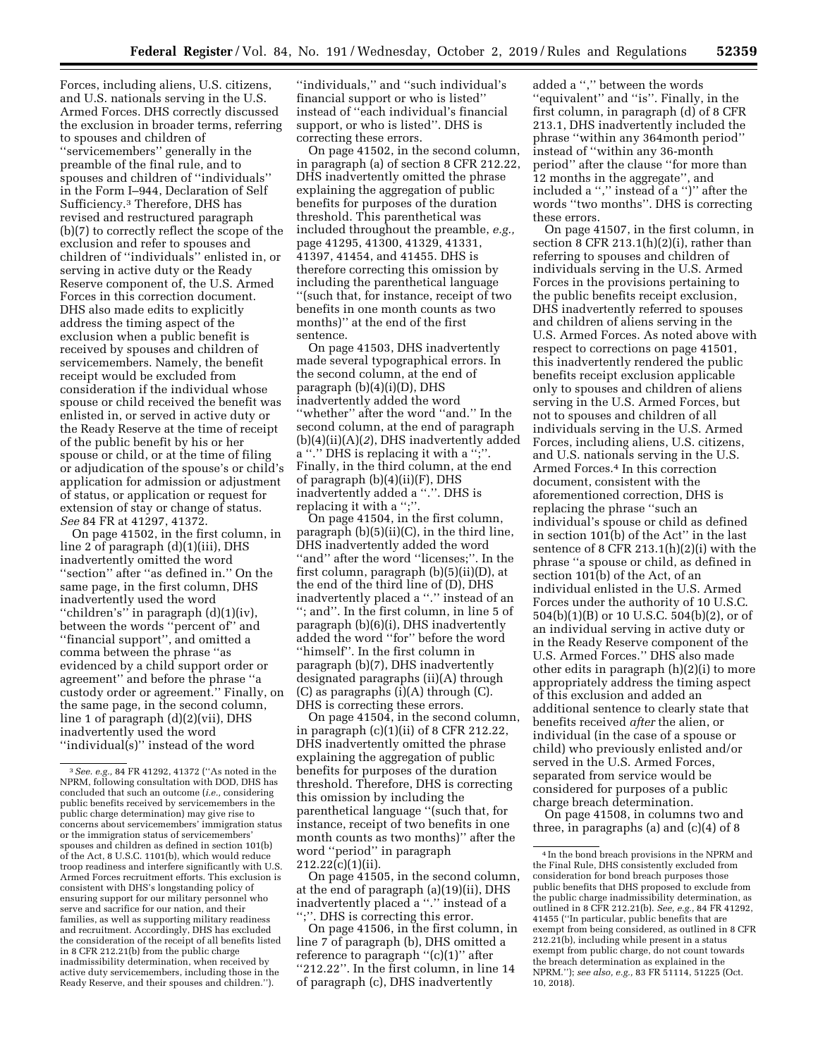Forces, including aliens, U.S. citizens, and U.S. nationals serving in the U.S. Armed Forces. DHS correctly discussed the exclusion in broader terms, referring to spouses and children of ''servicemembers'' generally in the preamble of the final rule, and to spouses and children of ''individuals'' in the Form I–944, Declaration of Self Sufficiency.3 Therefore, DHS has revised and restructured paragraph (b)(7) to correctly reflect the scope of the exclusion and refer to spouses and children of ''individuals'' enlisted in, or serving in active duty or the Ready Reserve component of, the U.S. Armed Forces in this correction document. DHS also made edits to explicitly address the timing aspect of the exclusion when a public benefit is received by spouses and children of servicemembers. Namely, the benefit receipt would be excluded from consideration if the individual whose spouse or child received the benefit was enlisted in, or served in active duty or the Ready Reserve at the time of receipt of the public benefit by his or her spouse or child, or at the time of filing or adjudication of the spouse's or child's application for admission or adjustment of status, or application or request for extension of stay or change of status. *See* 84 FR at 41297, 41372.

On page 41502, in the first column, in line 2 of paragraph (d)(1)(iii), DHS inadvertently omitted the word ''section'' after ''as defined in.'' On the same page, in the first column, DHS inadvertently used the word ''children's'' in paragraph (d)(1)(iv), between the words ''percent of'' and ''financial support'', and omitted a comma between the phrase ''as evidenced by a child support order or agreement'' and before the phrase ''a custody order or agreement.'' Finally, on the same page, in the second column, line 1 of paragraph (d)(2)(vii), DHS inadvertently used the word ''individual(s)'' instead of the word

''individuals,'' and ''such individual's financial support or who is listed'' instead of ''each individual's financial support, or who is listed''. DHS is correcting these errors.

On page 41502, in the second column, in paragraph (a) of section 8 CFR 212.22, DHS inadvertently omitted the phrase explaining the aggregation of public benefits for purposes of the duration threshold. This parenthetical was included throughout the preamble, *e.g.,*  page 41295, 41300, 41329, 41331, 41397, 41454, and 41455. DHS is therefore correcting this omission by including the parenthetical language ''(such that, for instance, receipt of two benefits in one month counts as two months)'' at the end of the first sentence.

On page 41503, DHS inadvertently made several typographical errors. In the second column, at the end of paragraph (b)(4)(i)(D), DHS inadvertently added the word ''whether'' after the word ''and.'' In the second column, at the end of paragraph (b)(4)(ii)(A)(*2*), DHS inadvertently added a ''.'' DHS is replacing it with a '';''. Finally, in the third column, at the end of paragraph (b)(4)(ii)(F), DHS inadvertently added a ''.''. DHS is replacing it with a ";"

On page 41504, in the first column, paragraph (b)(5)(ii)(C), in the third line, DHS inadvertently added the word ''and'' after the word ''licenses;''. In the first column, paragraph (b)(5)(ii)(D), at the end of the third line of (D), DHS inadvertently placed a "." instead of an ''; and''. In the first column, in line 5 of paragraph (b)(6)(i), DHS inadvertently added the word ''for'' before the word ''himself''. In the first column in paragraph (b)(7), DHS inadvertently designated paragraphs (ii)(A) through (C) as paragraphs (i)(A) through (C). DHS is correcting these errors.

On page 41504, in the second column, in paragraph (c)(1)(ii) of 8 CFR 212.22, DHS inadvertently omitted the phrase explaining the aggregation of public benefits for purposes of the duration threshold. Therefore, DHS is correcting this omission by including the parenthetical language ''(such that, for instance, receipt of two benefits in one month counts as two months)'' after the word ''period'' in paragraph 212.22(c)(1)(ii).

On page 41505, in the second column, at the end of paragraph (a)(19)(ii), DHS inadvertently placed a ''.'' instead of a '';''. DHS is correcting this error.

On page 41506, in the first column, in line 7 of paragraph (b), DHS omitted a reference to paragraph "(c)(1)" after ''212.22''. In the first column, in line 14 of paragraph (c), DHS inadvertently

added a '','' between the words ''equivalent'' and ''is''. Finally, in the first column, in paragraph (d) of 8 CFR 213.1, DHS inadvertently included the phrase ''within any 364month period'' instead of ''within any 36-month period'' after the clause ''for more than 12 months in the aggregate'', and included a '','' instead of a '')'' after the words ''two months''. DHS is correcting these errors.

On page 41507, in the first column, in section 8 CFR 213.1(h)(2)(i), rather than referring to spouses and children of individuals serving in the U.S. Armed Forces in the provisions pertaining to the public benefits receipt exclusion, DHS inadvertently referred to spouses and children of aliens serving in the U.S. Armed Forces. As noted above with respect to corrections on page 41501, this inadvertently rendered the public benefits receipt exclusion applicable only to spouses and children of aliens serving in the U.S. Armed Forces, but not to spouses and children of all individuals serving in the U.S. Armed Forces, including aliens, U.S. citizens, and U.S. nationals serving in the U.S. Armed Forces.4 In this correction document, consistent with the aforementioned correction, DHS is replacing the phrase ''such an individual's spouse or child as defined in section 101(b) of the Act'' in the last sentence of 8 CFR 213.1(h)(2)(i) with the phrase ''a spouse or child, as defined in section 101(b) of the Act, of an individual enlisted in the U.S. Armed Forces under the authority of 10 U.S.C. 504(b)(1)(B) or 10 U.S.C. 504(b)(2), or of an individual serving in active duty or in the Ready Reserve component of the U.S. Armed Forces.'' DHS also made other edits in paragraph (h)(2)(i) to more appropriately address the timing aspect of this exclusion and added an additional sentence to clearly state that benefits received *after* the alien, or individual (in the case of a spouse or child) who previously enlisted and/or served in the U.S. Armed Forces, separated from service would be considered for purposes of a public charge breach determination. On page 41508, in columns two and

three, in paragraphs (a) and  $(c)(4)$  of 8

<sup>3</sup>*See. e.g.,* 84 FR 41292, 41372 (''As noted in the NPRM, following consultation with DOD, DHS has concluded that such an outcome (*i.e.,* considering public benefits received by servicemembers in the public charge determination) may give rise to concerns about servicemembers' immigration status or the immigration status of servicemembers' spouses and children as defined in section 101(b) of the Act, 8 U.S.C. 1101(b), which would reduce troop readiness and interfere significantly with U.S. Armed Forces recruitment efforts. This exclusion is consistent with DHS's longstanding policy of ensuring support for our military personnel who serve and sacrifice for our nation, and their families, as well as supporting military readiness and recruitment. Accordingly, DHS has excluded the consideration of the receipt of all benefits listed in 8 CFR 212.21(b) from the public charge inadmissibility determination, when received by active duty servicemembers, including those in the Ready Reserve, and their spouses and children.'').

<sup>4</sup> In the bond breach provisions in the NPRM and the Final Rule, DHS consistently excluded from consideration for bond breach purposes those public benefits that DHS proposed to exclude from the public charge inadmissibility determination, as outlined in 8 CFR 212.21(b). *See, e.g.,* 84 FR 41292, 41455 (''In particular, public benefits that are exempt from being considered, as outlined in 8 CFR 212.21(b), including while present in a status exempt from public charge, do not count towards the breach determination as explained in the NPRM.''); *see also, e.g.,* 83 FR 51114, 51225 (Oct. 10, 2018).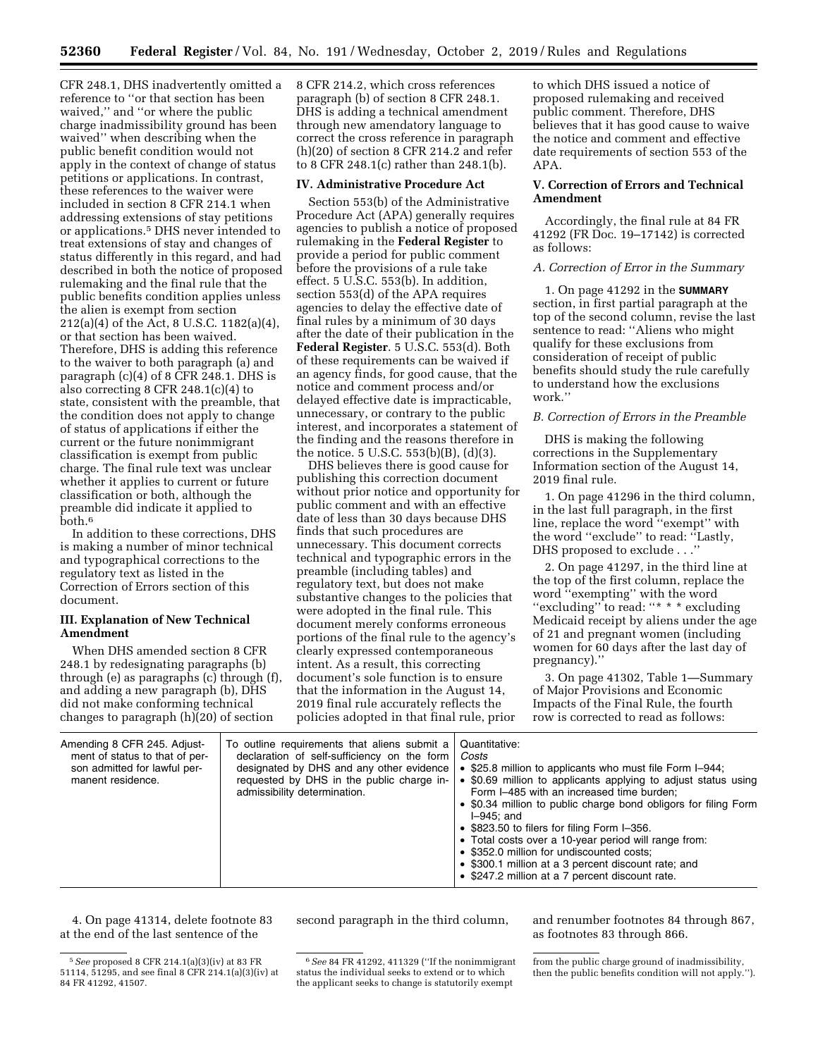CFR 248.1, DHS inadvertently omitted a reference to ''or that section has been waived,'' and ''or where the public charge inadmissibility ground has been waived'' when describing when the public benefit condition would not apply in the context of change of status petitions or applications. In contrast, these references to the waiver were included in section 8 CFR 214.1 when addressing extensions of stay petitions or applications.5 DHS never intended to treat extensions of stay and changes of status differently in this regard, and had described in both the notice of proposed rulemaking and the final rule that the public benefits condition applies unless the alien is exempt from section 212(a)(4) of the Act, 8 U.S.C. 1182(a)(4), or that section has been waived. Therefore, DHS is adding this reference to the waiver to both paragraph (a) and paragraph (c)(4) of 8 CFR 248.1. DHS is also correcting 8 CFR 248.1(c)(4) to state, consistent with the preamble, that the condition does not apply to change of status of applications if either the current or the future nonimmigrant classification is exempt from public charge. The final rule text was unclear whether it applies to current or future classification or both, although the preamble did indicate it applied to both.6

In addition to these corrections, DHS is making a number of minor technical and typographical corrections to the regulatory text as listed in the Correction of Errors section of this document.

## **III. Explanation of New Technical Amendment**

When DHS amended section 8 CFR 248.1 by redesignating paragraphs (b) through (e) as paragraphs (c) through (f), and adding a new paragraph (b), DHS did not make conforming technical changes to paragraph (h)(20) of section

8 CFR 214.2, which cross references paragraph (b) of section 8 CFR 248.1. DHS is adding a technical amendment through new amendatory language to correct the cross reference in paragraph (h)(20) of section 8 CFR 214.2 and refer to 8 CFR 248.1(c) rather than 248.1(b).

# **IV. Administrative Procedure Act**

Section 553(b) of the Administrative Procedure Act (APA) generally requires agencies to publish a notice of proposed rulemaking in the **Federal Register** to provide a period for public comment before the provisions of a rule take effect. 5 U.S.C. 553(b). In addition, section 553(d) of the APA requires agencies to delay the effective date of final rules by a minimum of 30 days after the date of their publication in the **Federal Register**. 5 U.S.C. 553(d). Both of these requirements can be waived if an agency finds, for good cause, that the notice and comment process and/or delayed effective date is impracticable, unnecessary, or contrary to the public interest, and incorporates a statement of the finding and the reasons therefore in the notice. 5 U.S.C. 553(b)(B), (d)(3).

DHS believes there is good cause for publishing this correction document without prior notice and opportunity for public comment and with an effective date of less than 30 days because DHS finds that such procedures are unnecessary. This document corrects technical and typographic errors in the preamble (including tables) and regulatory text, but does not make substantive changes to the policies that were adopted in the final rule. This document merely conforms erroneous portions of the final rule to the agency's clearly expressed contemporaneous intent. As a result, this correcting document's sole function is to ensure that the information in the August 14, 2019 final rule accurately reflects the policies adopted in that final rule, prior

to which DHS issued a notice of proposed rulemaking and received public comment. Therefore, DHS believes that it has good cause to waive the notice and comment and effective date requirements of section 553 of the APA.

# **V. Correction of Errors and Technical Amendment**

Accordingly, the final rule at 84 FR 41292 (FR Doc. 19–17142) is corrected as follows:

## *A. Correction of Error in the Summary*

1. On page 41292 in the **SUMMARY** section, in first partial paragraph at the top of the second column, revise the last sentence to read: ''Aliens who might qualify for these exclusions from consideration of receipt of public benefits should study the rule carefully to understand how the exclusions work.''

# *B. Correction of Errors in the Preamble*

DHS is making the following corrections in the Supplementary Information section of the August 14, 2019 final rule.

1. On page 41296 in the third column, in the last full paragraph, in the first line, replace the word ''exempt'' with the word ''exclude'' to read: ''Lastly, DHS proposed to exclude . . .''

2. On page 41297, in the third line at the top of the first column, replace the word ''exempting'' with the word "excluding" to read: "\* \* \* excluding Medicaid receipt by aliens under the age of 21 and pregnant women (including women for 60 days after the last day of pregnancy).''

3. On page 41302, Table 1—Summary of Major Provisions and Economic Impacts of the Final Rule, the fourth row is corrected to read as follows:

| Amending 8 CFR 245. Adjust-<br>ment of status to that of per-<br>son admitted for lawful per-<br>manent residence.<br>admissibility determination. | To outline requirements that aliens submit a<br>Quantitative:<br>declaration of self-sufficiency on the form<br>Costs<br>designated by DHS and any other evidence<br>• \$25.8 million to applicants who must file Form I-944;<br>• \$0.69 million to applicants applying to adjust status using<br>requested by DHS in the public charge in-<br>Form I-485 with an increased time burden;<br>• \$0.34 million to public charge bond obligors for filing Form<br>$I-945$ : and<br>• \$823.50 to filers for filing Form I-356.<br>• Total costs over a 10-year period will range from:<br>• \$352.0 million for undiscounted costs;<br>• \$300.1 million at a 3 percent discount rate; and<br>• \$247.2 million at a 7 percent discount rate. |
|----------------------------------------------------------------------------------------------------------------------------------------------------|---------------------------------------------------------------------------------------------------------------------------------------------------------------------------------------------------------------------------------------------------------------------------------------------------------------------------------------------------------------------------------------------------------------------------------------------------------------------------------------------------------------------------------------------------------------------------------------------------------------------------------------------------------------------------------------------------------------------------------------------|
|----------------------------------------------------------------------------------------------------------------------------------------------------|---------------------------------------------------------------------------------------------------------------------------------------------------------------------------------------------------------------------------------------------------------------------------------------------------------------------------------------------------------------------------------------------------------------------------------------------------------------------------------------------------------------------------------------------------------------------------------------------------------------------------------------------------------------------------------------------------------------------------------------------|

4. On page 41314, delete footnote 83 at the end of the last sentence of the

second paragraph in the third column, and renumber footnotes 84 through 867, as footnotes 83 through 866.

<sup>5</sup>*See* proposed 8 CFR 214.1(a)(3)(iv) at 83 FR 51114, 51295, and see final 8 CFR 214.1(a)(3)(iv) at 84 FR 41292, 41507.

<sup>6</sup>*See* 84 FR 41292, 411329 (''If the nonimmigrant status the individual seeks to extend or to which the applicant seeks to change is statutorily exempt

from the public charge ground of inadmissibility, then the public benefits condition will not apply.'').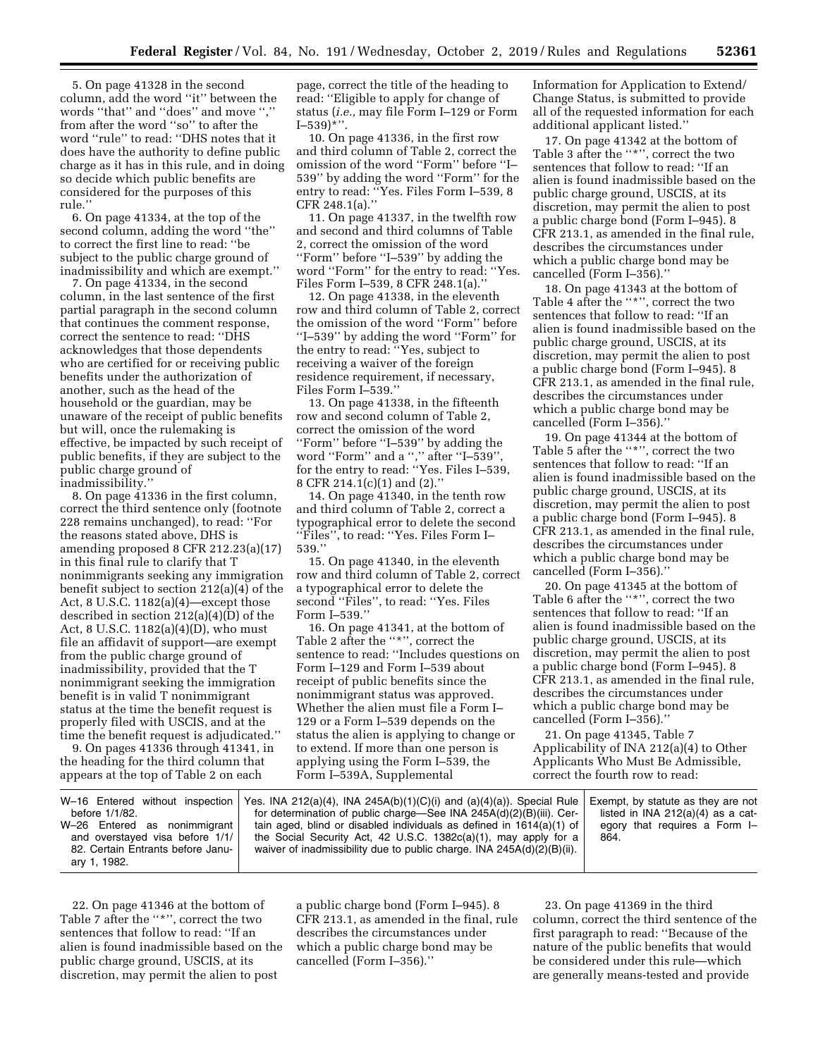5. On page 41328 in the second column, add the word ''it'' between the words ''that'' and ''does'' and move '','' from after the word ''so'' to after the word ''rule'' to read: ''DHS notes that it does have the authority to define public charge as it has in this rule, and in doing so decide which public benefits are considered for the purposes of this rule.''

6. On page 41334, at the top of the second column, adding the word ''the'' to correct the first line to read: ''be subject to the public charge ground of inadmissibility and which are exempt.''

7. On page 41334, in the second column, in the last sentence of the first partial paragraph in the second column that continues the comment response, correct the sentence to read: ''DHS acknowledges that those dependents who are certified for or receiving public benefits under the authorization of another, such as the head of the household or the guardian, may be unaware of the receipt of public benefits but will, once the rulemaking is effective, be impacted by such receipt of public benefits, if they are subject to the public charge ground of inadmissibility.''

8. On page 41336 in the first column, correct the third sentence only (footnote 228 remains unchanged), to read: ''For the reasons stated above, DHS is amending proposed 8 CFR 212.23(a)(17) in this final rule to clarify that T nonimmigrants seeking any immigration benefit subject to section 212(a)(4) of the Act, 8 U.S.C.  $1182(a)(4)$ —except those described in section 212(a)(4)(D) of the Act, 8 U.S.C. 1182(a)(4)(D), who must file an affidavit of support—are exempt from the public charge ground of inadmissibility, provided that the T nonimmigrant seeking the immigration benefit is in valid T nonimmigrant status at the time the benefit request is properly filed with USCIS, and at the time the benefit request is adjudicated.''

9. On pages 41336 through 41341, in the heading for the third column that appears at the top of Table 2 on each

page, correct the title of the heading to read: ''Eligible to apply for change of status (*i.e.,* may file Form I–129 or Form  $[-539)$ \*''.

10. On page 41336, in the first row and third column of Table 2, correct the omission of the word ''Form'' before ''I– 539'' by adding the word ''Form'' for the entry to read: ''Yes. Files Form I–539, 8 CFR 248.1(a).''

11. On page 41337, in the twelfth row and second and third columns of Table 2, correct the omission of the word ''Form'' before ''I–539'' by adding the word ''Form'' for the entry to read: ''Yes. Files Form I–539, 8 CFR 248.1(a).''

12. On page 41338, in the eleventh row and third column of Table 2, correct the omission of the word ''Form'' before ''I–539'' by adding the word ''Form'' for the entry to read: ''Yes, subject to receiving a waiver of the foreign residence requirement, if necessary, Files Form I–539.''

13. On page 41338, in the fifteenth row and second column of Table 2, correct the omission of the word ''Form'' before ''I–539'' by adding the word ''Form'' and a '','' after ''I–539'', for the entry to read: ''Yes. Files I–539, 8 CFR 214.1(c)(1) and (2).''

14. On page 41340, in the tenth row and third column of Table 2, correct a typographical error to delete the second ''Files'', to read: ''Yes. Files Form I– 539.''

15. On page 41340, in the eleventh row and third column of Table 2, correct a typographical error to delete the second ''Files'', to read: ''Yes. Files Form I–539.''

16. On page 41341, at the bottom of Table 2 after the ''\*'', correct the sentence to read: ''Includes questions on Form I–129 and Form I–539 about receipt of public benefits since the nonimmigrant status was approved. Whether the alien must file a Form I– 129 or a Form I–539 depends on the status the alien is applying to change or to extend. If more than one person is applying using the Form I–539, the Form I–539A, Supplemental

Information for Application to Extend/ Change Status, is submitted to provide all of the requested information for each additional applicant listed.''

17. On page 41342 at the bottom of Table 3 after the "\*", correct the two sentences that follow to read: ''If an alien is found inadmissible based on the public charge ground, USCIS, at its discretion, may permit the alien to post a public charge bond (Form I–945). 8 CFR 213.1, as amended in the final rule, describes the circumstances under which a public charge bond may be cancelled (Form I–356).''

18. On page 41343 at the bottom of Table 4 after the ''\*'', correct the two sentences that follow to read: ''If an alien is found inadmissible based on the public charge ground, USCIS, at its discretion, may permit the alien to post a public charge bond (Form I–945). 8 CFR 213.1, as amended in the final rule, describes the circumstances under which a public charge bond may be cancelled (Form I–356).''

19. On page 41344 at the bottom of Table 5 after the ''\*'', correct the two sentences that follow to read: ''If an alien is found inadmissible based on the public charge ground, USCIS, at its discretion, may permit the alien to post a public charge bond (Form I–945). 8 CFR 213.1, as amended in the final rule, describes the circumstances under which a public charge bond may be cancelled (Form I–356).''

20. On page 41345 at the bottom of Table 6 after the ''\*'', correct the two sentences that follow to read: ''If an alien is found inadmissible based on the public charge ground, USCIS, at its discretion, may permit the alien to post a public charge bond (Form I–945). 8 CFR 213.1, as amended in the final rule, describes the circumstances under which a public charge bond may be cancelled (Form I–356).''

21. On page 41345, Table 7 Applicability of INA 212(a)(4) to Other Applicants Who Must Be Admissible, correct the fourth row to read:

|                                   | W-16 Entered without inspection   Yes. INA 212(a)(4), INA 245A(b)(1)(C)(i) and (a)(4)(a)). Special Rule | Exempt, by statute as they are not  |
|-----------------------------------|---------------------------------------------------------------------------------------------------------|-------------------------------------|
| before 1/1/82.                    | for determination of public charge—See INA 245A(d)(2)(B)(iii). Cer-                                     | listed in INA $212(a)(4)$ as a cat- |
| W-26 Entered as nonimmigrant      | tain aged, blind or disabled individuals as defined in $1614(a)(1)$ of                                  | egory that requires a Form I-       |
| and overstayed visa before 1/1/   | the Social Security Act, 42 U.S.C. 1382c(a)(1), may apply for a                                         | 864.                                |
| 82. Certain Entrants before Janu- | waiver of inadmissibility due to public charge. INA $245A(d)(2)(B)(ii)$ .                               |                                     |
| ary 1, 1982.                      |                                                                                                         |                                     |

22. On page 41346 at the bottom of Table 7 after the ''\*'', correct the two sentences that follow to read: ''If an alien is found inadmissible based on the public charge ground, USCIS, at its discretion, may permit the alien to post

a public charge bond (Form I–945). 8 CFR 213.1, as amended in the final, rule describes the circumstances under which a public charge bond may be cancelled (Form I–356).''

23. On page 41369 in the third column, correct the third sentence of the first paragraph to read: ''Because of the nature of the public benefits that would be considered under this rule—which are generally means-tested and provide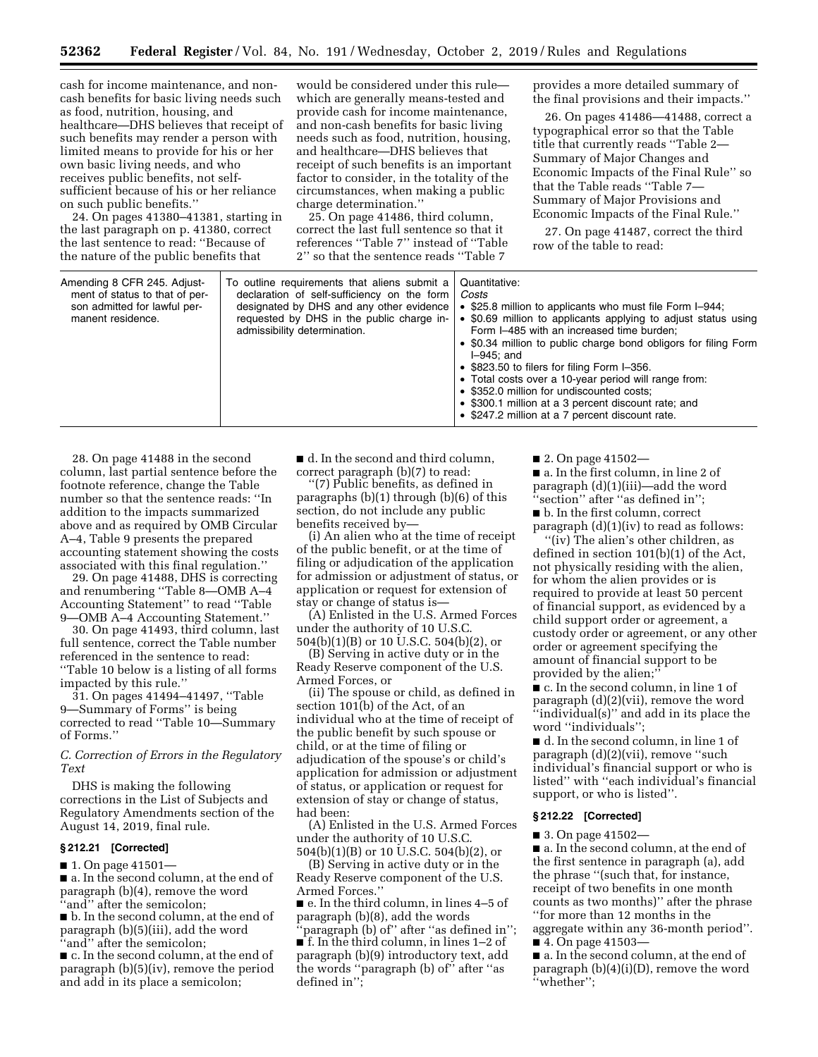cash for income maintenance, and noncash benefits for basic living needs such as food, nutrition, housing, and healthcare—DHS believes that receipt of such benefits may render a person with limited means to provide for his or her own basic living needs, and who receives public benefits, not selfsufficient because of his or her reliance on such public benefits.''

24. On pages 41380–41381, starting in the last paragraph on p. 41380, correct the last sentence to read: ''Because of the nature of the public benefits that

would be considered under this rule which are generally means-tested and provide cash for income maintenance, and non-cash benefits for basic living needs such as food, nutrition, housing, and healthcare—DHS believes that receipt of such benefits is an important factor to consider, in the totality of the circumstances, when making a public charge determination.''

25. On page 41486, third column, correct the last full sentence so that it references ''Table 7'' instead of ''Table 2'' so that the sentence reads ''Table 7

provides a more detailed summary of the final provisions and their impacts.''

26. On pages 41486—41488, correct a typographical error so that the Table title that currently reads ''Table 2— Summary of Major Changes and Economic Impacts of the Final Rule'' so that the Table reads ''Table 7— Summary of Major Provisions and Economic Impacts of the Final Rule.''

27. On page 41487, correct the third row of the table to read:

| Amending 8 CFR 245. Adjust-<br>To outline requirements that aliens submit a<br>declaration of self-sufficiency on the form<br>ment of status to that of per-<br>designated by DHS and any other evidence<br>son admitted for lawful per-<br>requested by DHS in the public charge in-<br>manent residence.<br>admissibility determination. | Quantitative:<br>Costs<br>• \$25.8 million to applicants who must file Form I-944;<br>• \$0.69 million to applicants applying to adjust status using<br>Form I-485 with an increased time burden:<br>• \$0.34 million to public charge bond obligors for filing Form<br>$I=945$ : and<br>• \$823.50 to filers for filing Form I-356.<br>• Total costs over a 10-year period will range from:<br>• \$352.0 million for undiscounted costs;<br>• \$300.1 million at a 3 percent discount rate; and<br>• \$247.2 million at a 7 percent discount rate. |
|--------------------------------------------------------------------------------------------------------------------------------------------------------------------------------------------------------------------------------------------------------------------------------------------------------------------------------------------|-----------------------------------------------------------------------------------------------------------------------------------------------------------------------------------------------------------------------------------------------------------------------------------------------------------------------------------------------------------------------------------------------------------------------------------------------------------------------------------------------------------------------------------------------------|
|--------------------------------------------------------------------------------------------------------------------------------------------------------------------------------------------------------------------------------------------------------------------------------------------------------------------------------------------|-----------------------------------------------------------------------------------------------------------------------------------------------------------------------------------------------------------------------------------------------------------------------------------------------------------------------------------------------------------------------------------------------------------------------------------------------------------------------------------------------------------------------------------------------------|

28. On page 41488 in the second column, last partial sentence before the footnote reference, change the Table number so that the sentence reads: ''In addition to the impacts summarized above and as required by OMB Circular A–4, Table 9 presents the prepared accounting statement showing the costs associated with this final regulation.''

29. On page 41488, DHS is correcting and renumbering ''Table 8—OMB A–4 Accounting Statement'' to read ''Table 9—OMB A–4 Accounting Statement.''

30. On page 41493, third column, last full sentence, correct the Table number referenced in the sentence to read: ''Table 10 below is a listing of all forms impacted by this rule.''

31. On pages 41494–41497, ''Table 9—Summary of Forms'' is being corrected to read ''Table 10—Summary of Forms.''

*C. Correction of Errors in the Regulatory Text* 

DHS is making the following corrections in the List of Subjects and Regulatory Amendments section of the August 14, 2019, final rule.

#### **§ 212.21 [Corrected]**

■ 1. On page 41501—

■ a. In the second column, at the end of paragraph (b)(4), remove the word ''and'' after the semicolon;

■ b. In the second column, at the end of paragraph (b)(5)(iii), add the word ''and'' after the semicolon;

■ c. In the second column, at the end of paragraph (b)(5)(iv), remove the period and add in its place a semicolon;

■ d. In the second and third column, correct paragraph (b)(7) to read:

''(7) Public benefits, as defined in paragraphs (b)(1) through (b)(6) of this section, do not include any public benefits received by—

(i) An alien who at the time of receipt of the public benefit, or at the time of filing or adjudication of the application for admission or adjustment of status, or application or request for extension of stay or change of status is—

(A) Enlisted in the U.S. Armed Forces under the authority of 10 U.S.C. 504(b)(1)(B) or 10 U.S.C. 504(b)(2), or

(B) Serving in active duty or in the Ready Reserve component of the U.S. Armed Forces, or

(ii) The spouse or child, as defined in section 101(b) of the Act, of an individual who at the time of receipt of the public benefit by such spouse or child, or at the time of filing or adjudication of the spouse's or child's application for admission or adjustment of status, or application or request for extension of stay or change of status, had been:

(A) Enlisted in the U.S. Armed Forces under the authority of 10 U.S.C. 504(b)(1)(B) or 10 U.S.C. 504(b)(2), or

(B) Serving in active duty or in the Ready Reserve component of the U.S. Armed Forces.''

■ e. In the third column, in lines 4–5 of paragraph (b)(8), add the words

'paragraph (b) of" after "as defined in"; ■ f. In the third column, in lines 1–2 of paragraph (b)(9) introductory text, add the words ''paragraph (b) of'' after ''as defined in'';

■ 2. On page 41502—

■ a. In the first column, in line 2 of paragraph (d)(1)(iii)—add the word ''section'' after ''as defined in'';

■ b. In the first column, correct paragraph  $(d)(1)(iv)$  to read as follows:

''(iv) The alien's other children, as defined in section 101(b)(1) of the Act, not physically residing with the alien, for whom the alien provides or is required to provide at least 50 percent of financial support, as evidenced by a child support order or agreement, a custody order or agreement, or any other order or agreement specifying the amount of financial support to be provided by the alien;''

■ c. In the second column, in line 1 of paragraph (d)(2)(vii), remove the word ''individual(s)'' and add in its place the word ''individuals'';

■ d. In the second column, in line 1 of paragraph (d)(2)(vii), remove ''such individual's financial support or who is listed'' with ''each individual's financial support, or who is listed''.

#### **§ 212.22 [Corrected]**

■ 3. On page 41502—

■ a. In the second column, at the end of the first sentence in paragraph (a), add the phrase ''(such that, for instance, receipt of two benefits in one month counts as two months)'' after the phrase ''for more than 12 months in the aggregate within any 36-month period''. ■ 4. On page 41503—

■ a. In the second column, at the end of paragraph (b)(4)(i)(D), remove the word ''whether'';